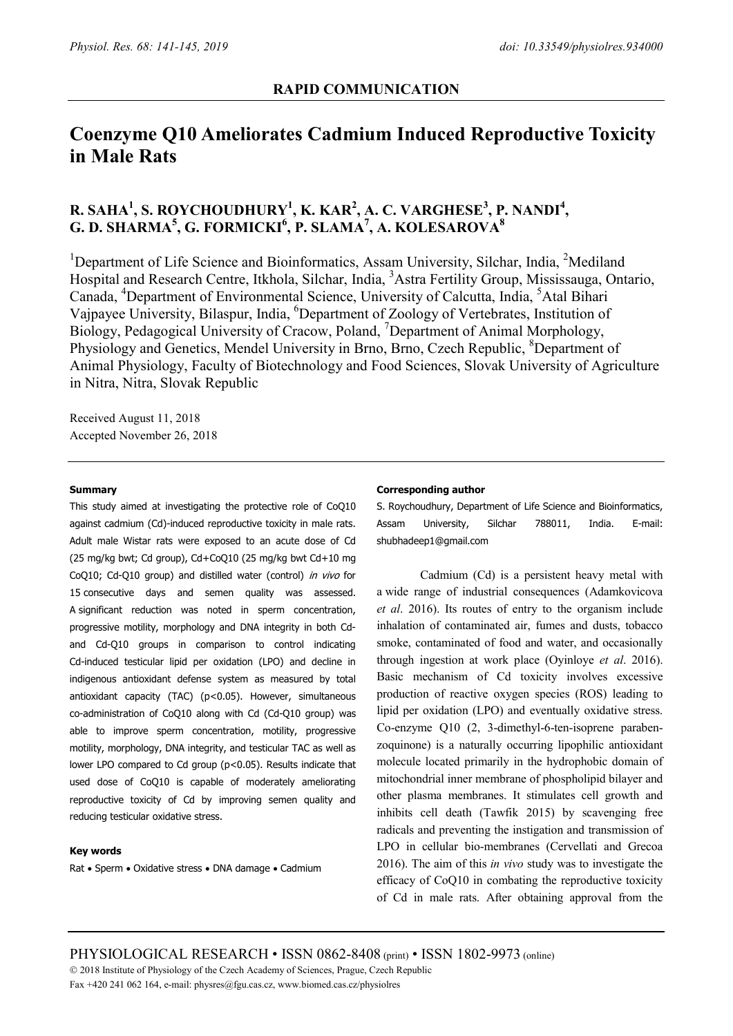# **Coenzyme Q10 Ameliorates Cadmium Induced Reproductive Toxicity in Male Rats**

# **R. SAHA1 , S. ROYCHOUDHURY1 , K. KAR2 , A. C. VARGHESE<sup>3</sup> , P. NANDI<sup>4</sup> , G. D. SHARMA5 , G. FORMICKI<sup>6</sup> , P. SLAMA7 , A. KOLESAROVA8**

<sup>1</sup>Department of Life Science and Bioinformatics, Assam University, Silchar, India, <sup>2</sup>Mediland Hospital and Research Centre, Itkhola, Silchar, India, <sup>3</sup>Astra Fertility Group, Mississauga, Ontario, Canada, <sup>4</sup>Department of Environmental Science, University of Calcutta, India, <sup>5</sup>Atal Bihari Vajpayee University, Bilaspur, India, <sup>6</sup>Department of Zoology of Vertebrates, Institution of Biology, Pedagogical University of Cracow, Poland, <sup>7</sup>Department of Animal Morphology, Physiology and Genetics, Mendel University in Brno, Brno, Czech Republic, <sup>8</sup>Department of Animal Physiology, Faculty of Biotechnology and Food Sciences, Slovak University of Agriculture in Nitra, Nitra, Slovak Republic

Received August 11, 2018 Accepted November 26, 2018

#### **Summary**

This study aimed at investigating the protective role of CoQ10 against cadmium (Cd)-induced reproductive toxicity in male rats. Adult male Wistar rats were exposed to an acute dose of Cd (25 mg/kg bwt; Cd group), Cd+CoQ10 (25 mg/kg bwt Cd+10 mg CoQ10; Cd-Q10 group) and distilled water (control) in vivo for 15 consecutive days and semen quality was assessed. A significant reduction was noted in sperm concentration, progressive motility, morphology and DNA integrity in both Cdand Cd-Q10 groups in comparison to control indicating Cd-induced testicular lipid per oxidation (LPO) and decline in indigenous antioxidant defense system as measured by total antioxidant capacity (TAC) (p<0.05). However, simultaneous co-administration of CoQ10 along with Cd (Cd-Q10 group) was able to improve sperm concentration, motility, progressive motility, morphology, DNA integrity, and testicular TAC as well as lower LPO compared to Cd group (p<0.05). Results indicate that used dose of CoQ10 is capable of moderately ameliorating reproductive toxicity of Cd by improving semen quality and reducing testicular oxidative stress.

#### **Key words**

Rat • Sperm • Oxidative stress • DNA damage • Cadmium

#### **Corresponding author**

S. Roychoudhury, Department of Life Science and Bioinformatics, Assam University, Silchar 788011, India. E-mail: shubhadeep1@gmail.com

Cadmium (Cd) is a persistent heavy metal with a wide range of industrial consequences (Adamkovicova *et al*. 2016). Its routes of entry to the organism include inhalation of contaminated air, fumes and dusts, tobacco smoke, contaminated of food and water, and occasionally through ingestion at work place (Oyinloye *et al*. 2016). Basic mechanism of Cd toxicity involves excessive production of reactive oxygen species (ROS) leading to lipid per oxidation (LPO) and eventually oxidative stress. Co-enzyme Q10 (2, 3-dimethyl-6-ten-isoprene parabenzoquinone) is a naturally occurring lipophilic antioxidant molecule located primarily in the hydrophobic domain of mitochondrial inner membrane of phospholipid bilayer and other plasma membranes. It stimulates cell growth and inhibits cell death (Tawfik 2015) by scavenging free radicals and preventing the instigation and transmission of LPO in cellular bio-membranes (Cervellati and Grecoa 2016). The aim of this *in vivo* study was to investigate the efficacy of CoQ10 in combating the reproductive toxicity of Cd in male rats. After obtaining approval from the

PHYSIOLOGICAL RESEARCH • ISSN 0862-8408 (print) • ISSN 1802-9973 (online) 2018 Institute of Physiology of the Czech Academy of Sciences, Prague, Czech Republic Fax +420 241 062 164, e-mail: physres@fgu.cas.cz, www.biomed.cas.cz/physiolres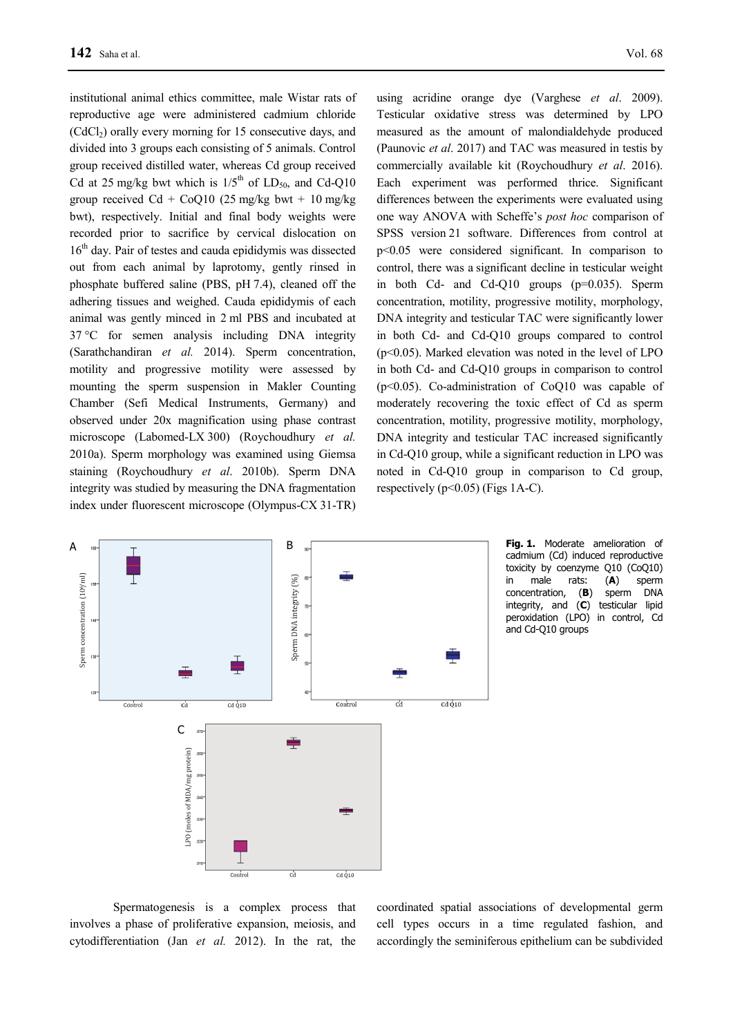institutional animal ethics committee, male Wistar rats of reproductive age were administered cadmium chloride  $(CdC_1)$  orally every morning for 15 consecutive days, and divided into 3 groups each consisting of 5 animals. Control group received distilled water, whereas Cd group received Cd at 25 mg/kg bwt which is  $1/5<sup>th</sup>$  of LD<sub>50</sub>, and Cd-Q10 group received  $Cd + CoQ10$  (25 mg/kg bwt + 10 mg/kg bwt), respectively. Initial and final body weights were recorded prior to sacrifice by cervical dislocation on  $16<sup>th</sup>$  day. Pair of testes and cauda epididymis was dissected out from each animal by laprotomy, gently rinsed in phosphate buffered saline (PBS, pH 7.4), cleaned off the adhering tissues and weighed. Cauda epididymis of each animal was gently minced in 2 ml PBS and incubated at 37 °C for semen analysis including DNA integrity (Sarathchandiran *et al.* 2014). Sperm concentration, motility and progressive motility were assessed by mounting the sperm suspension in Makler Counting Chamber (Sefi Medical Instruments, Germany) and observed under 20x magnification using phase contrast microscope (Labomed-LX 300) (Roychoudhury *et al.* 2010a). Sperm morphology was examined using Giemsa staining (Roychoudhury *et al*. 2010b). Sperm DNA integrity was studied by measuring the DNA fragmentation index under fluorescent microscope (Olympus-CX 31-TR)

using acridine orange dye (Varghese *et al*. 2009). Testicular oxidative stress was determined by LPO measured as the amount of malondialdehyde produced (Paunovic *et al*. 2017) and TAC was measured in testis by commercially available kit (Roychoudhury *et al*. 2016). Each experiment was performed thrice. Significant differences between the experiments were evaluated using one way ANOVA with Scheffe's *post hoc* comparison of SPSS version 21 software. Differences from control at p<0.05 were considered significant. In comparison to control, there was a significant decline in testicular weight in both Cd- and Cd-Q10 groups (p=0.035). Sperm concentration, motility, progressive motility, morphology, DNA integrity and testicular TAC were significantly lower in both Cd- and Cd-Q10 groups compared to control (p<0.05). Marked elevation was noted in the level of LPO in both Cd- and Cd-Q10 groups in comparison to control (p<0.05). Co-administration of CoQ10 was capable of moderately recovering the toxic effect of Cd as sperm concentration, motility, progressive motility, morphology, DNA integrity and testicular TAC increased significantly in Cd-Q10 group, while a significant reduction in LPO was noted in Cd-Q10 group in comparison to Cd group, respectively ( $p<0.05$ ) (Figs 1A-C).



**Fig. 1.** Moderate amelioration of cadmium (Cd) induced reproductive toxicity by coenzyme Q10 (CoQ10) in male rats: (**A**) sperm concentration, (**B**) sperm DNA integrity, and (**C**) testicular lipid peroxidation (LPO) in control, Cd and Cd-Q10 groups

Spermatogenesis is a complex process that involves a phase of proliferative expansion, meiosis, and cytodifferentiation (Jan *et al.* 2012). In the rat, the

coordinated spatial associations of developmental germ cell types occurs in a time regulated fashion, and accordingly the seminiferous epithelium can be subdivided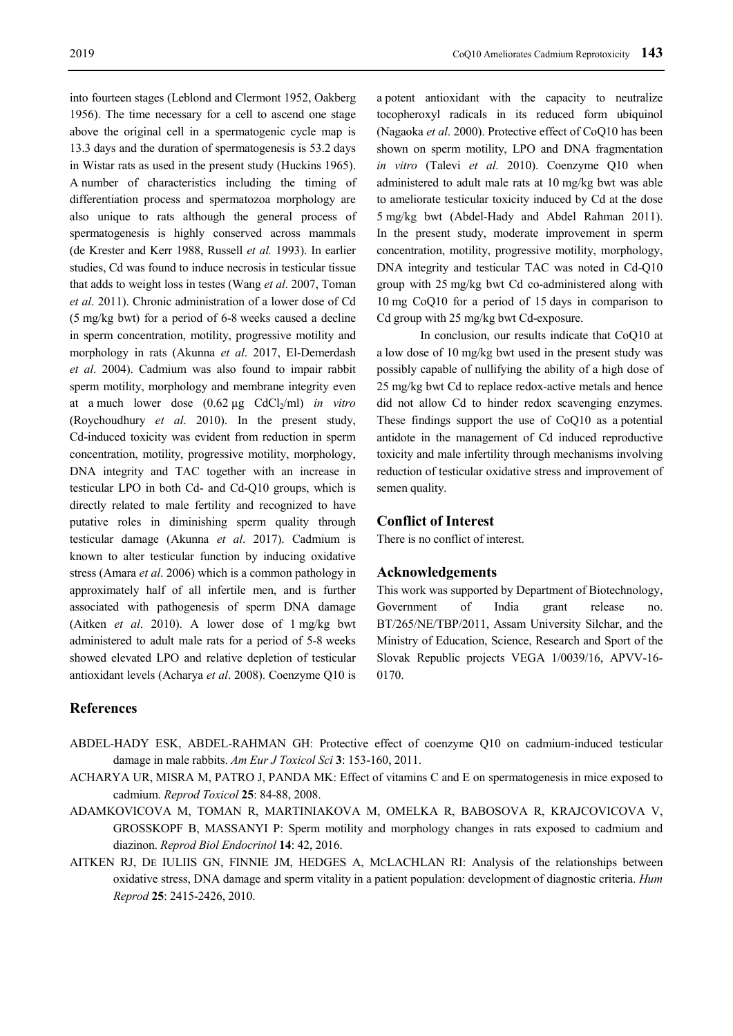into fourteen stages (Leblond and Clermont 1952, Oakberg 1956). The time necessary for a cell to ascend one stage above the original cell in a spermatogenic cycle map is 13.3 days and the duration of spermatogenesis is 53.2 days in Wistar rats as used in the present study (Huckins 1965). A number of characteristics including the timing of differentiation process and spermatozoa morphology are also unique to rats although the general process of spermatogenesis is highly conserved across mammals (de Krester and Kerr 1988, Russell *et al.* 1993). In earlier studies, Cd was found to induce necrosis in testicular tissue that adds to weight loss in testes (Wang *et al*. 2007, Toman *et al*. 2011). Chronic administration of a lower dose of Cd (5 mg/kg bwt) for a period of 6-8 weeks caused a decline in sperm concentration, motility, progressive motility and morphology in rats (Akunna *et al*. 2017, El-Demerdash *et al*. 2004). Cadmium was also found to impair rabbit sperm motility, morphology and membrane integrity even at a much lower dose  $(0.62 \mu g \text{ CdCl}_{2}/m)$  *in vitro* (Roychoudhury *et al*. 2010). In the present study, Cd-induced toxicity was evident from reduction in sperm concentration, motility, progressive motility, morphology, DNA integrity and TAC together with an increase in testicular LPO in both Cd- and Cd-Q10 groups, which is directly related to male fertility and recognized to have putative roles in diminishing sperm quality through testicular damage (Akunna *et al*. 2017). Cadmium is known to alter testicular function by inducing oxidative stress (Amara *et al*. 2006) which is a common pathology in approximately half of all infertile men, and is further associated with pathogenesis of sperm DNA damage (Aitken *et al*. 2010). A lower dose of 1 mg/kg bwt administered to adult male rats for a period of 5-8 weeks showed elevated LPO and relative depletion of testicular antioxidant levels (Acharya *et al*. 2008). Coenzyme Q10 is

a potent antioxidant with the capacity to neutralize tocopheroxyl radicals in its reduced form ubiquinol (Nagaoka *et al*. 2000). Protective effect of CoQ10 has been shown on sperm motility, LPO and DNA fragmentation *in vitro* (Talevi *et al*. 2010). Coenzyme Q10 when administered to adult male rats at 10 mg/kg bwt was able to ameliorate testicular toxicity induced by Cd at the dose 5 mg/kg bwt (Abdel-Hady and Abdel Rahman 2011). In the present study, moderate improvement in sperm concentration, motility, progressive motility, morphology, DNA integrity and testicular TAC was noted in Cd-Q10 group with 25 mg/kg bwt Cd co-administered along with 10 mg CoQ10 for a period of 15 days in comparison to Cd group with 25 mg/kg bwt Cd-exposure.

In conclusion, our results indicate that CoQ10 at a low dose of 10 mg/kg bwt used in the present study was possibly capable of nullifying the ability of a high dose of 25 mg/kg bwt Cd to replace redox-active metals and hence did not allow Cd to hinder redox scavenging enzymes. These findings support the use of CoQ10 as a potential antidote in the management of Cd induced reproductive toxicity and male infertility through mechanisms involving reduction of testicular oxidative stress and improvement of semen quality.

# **Conflict of Interest**

There is no conflict of interest.

# **Acknowledgements**

This work was supported by Department of Biotechnology, Government of India grant release no. BT/265/NE/TBP/2011, Assam University Silchar, and the Ministry of Education, Science, Research and Sport of the Slovak Republic projects VEGA 1/0039/16, APVV-16- 0170.

# **References**

- ABDEL-HADY ESK, ABDEL-RAHMAN GH: Protective effect of coenzyme Q10 on cadmium-induced testicular damage in male rabbits. *Am Eur J Toxicol Sci* **3**: 153-160, 2011.
- ACHARYA UR, MISRA M, PATRO J, PANDA MK: Effect of vitamins C and E on spermatogenesis in mice exposed to cadmium. *Reprod Toxicol* **25**: 84-88, 2008.
- ADAMKOVICOVA M, TOMAN R, MARTINIAKOVA M, OMELKA R, BABOSOVA R, KRAJCOVICOVA V, GROSSKOPF B, MASSANYI P: Sperm motility and morphology changes in rats exposed to cadmium and diazinon. *Reprod Biol Endocrinol* **14**: 42, 2016.
- AITKEN RJ, DE IULIIS GN, FINNIE JM, HEDGES A, MCLACHLAN RI: Analysis of the relationships between oxidative stress, DNA damage and sperm vitality in a patient population: development of diagnostic criteria. *Hum Reprod* **25**: 2415-2426, 2010.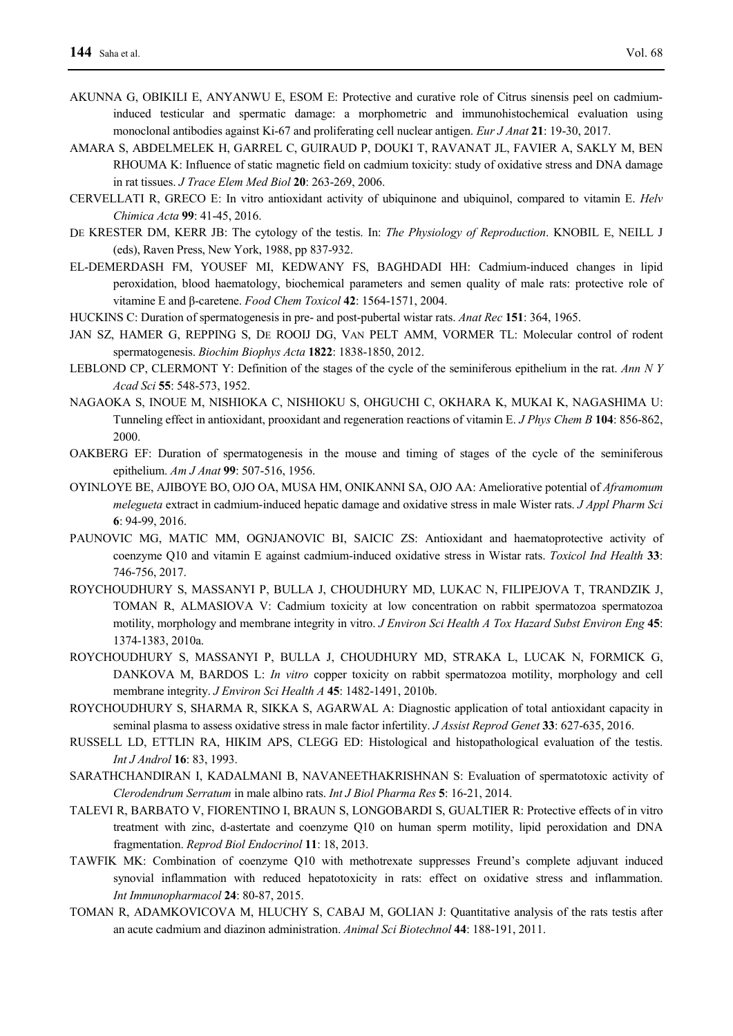- AKUNNA G, OBIKILI E, ANYANWU E, ESOM E: Protective and curative role of Citrus sinensis peel on cadmiuminduced testicular and spermatic damage: a morphometric and immunohistochemical evaluation using monoclonal antibodies against Ki-67 and proliferating cell nuclear antigen. *Eur J Anat* **21**: 19-30, 2017.
- AMARA S, ABDELMELEK H, GARREL C, GUIRAUD P, DOUKI T, RAVANAT JL, FAVIER A, SAKLY M, BEN RHOUMA K: Influence of static magnetic field on cadmium toxicity: study of oxidative stress and DNA damage in rat tissues. *J Trace Elem Med Biol* **20**: 263-269, 2006.
- CERVELLATI R, GRECO E: In vitro antioxidant activity of ubiquinone and ubiquinol, compared to vitamin E. *Helv Chimica Acta* **99**: 41-45, 2016.
- DE KRESTER DM, KERR JB: The cytology of the testis. In: *The Physiology of Reproduction*. KNOBIL E, NEILL J (eds), Raven Press, New York, 1988, pp 837-932.
- EL-DEMERDASH FM, YOUSEF MI, KEDWANY FS, BAGHDADI HH: Cadmium-induced changes in lipid peroxidation, blood haematology, biochemical parameters and semen quality of male rats: protective role of vitamine E and β-caretene. *Food Chem Toxicol* **42**: 1564-1571, 2004.
- HUCKINS C: Duration of spermatogenesis in pre- and post-pubertal wistar rats. *Anat Rec* **151**: 364, 1965.
- JAN SZ, HAMER G, REPPING S, DE ROOIJ DG, VAN PELT AMM, VORMER TL: Molecular control of rodent spermatogenesis. *Biochim Biophys Acta* **1822**: 1838-1850, 2012.
- LEBLOND CP, CLERMONT Y: Definition of the stages of the cycle of the seminiferous epithelium in the rat. *Ann N Y Acad Sci* **55**: 548-573, 1952.
- NAGAOKA S, INOUE M, NISHIOKA C, NISHIOKU S, OHGUCHI C, OKHARA K, MUKAI K, NAGASHIMA U: Tunneling effect in antioxidant, prooxidant and regeneration reactions of vitamin E. *J Phys Chem B* **104**: 856-862, 2000.
- OAKBERG EF: Duration of spermatogenesis in the mouse and timing of stages of the cycle of the seminiferous epithelium. *Am J Anat* **99**: 507-516, 1956.
- OYINLOYE BE, AJIBOYE BO, OJO OA, MUSA HM, ONIKANNI SA, OJO AA: Ameliorative potential of *Aframomum melegueta* extract in cadmium-induced hepatic damage and oxidative stress in male Wister rats. *J Appl Pharm Sci* **6**: 94-99, 2016.
- PAUNOVIC MG, MATIC MM, OGNJANOVIC BI, SAICIC ZS: Antioxidant and haematoprotective activity of coenzyme Q10 and vitamin E against cadmium-induced oxidative stress in Wistar rats. *Toxicol Ind Health* **33**: 746-756, 2017.
- ROYCHOUDHURY S, MASSANYI P, BULLA J, CHOUDHURY MD, LUKAC N, FILIPEJOVA T, TRANDZIK J, TOMAN R, ALMASIOVA V: Cadmium toxicity at low concentration on rabbit spermatozoa spermatozoa motility, morphology and membrane integrity in vitro. *J Environ Sci Health A Tox Hazard Subst Environ Eng* **45**: 1374-1383, 2010a.
- ROYCHOUDHURY S, MASSANYI P, BULLA J, CHOUDHURY MD, STRAKA L, LUCAK N, FORMICK G, DANKOVA M, BARDOS L: *In vitro* copper toxicity on rabbit spermatozoa motility, morphology and cell membrane integrity. *J Environ Sci Health A* **45**: 1482-1491, 2010b.
- ROYCHOUDHURY S, SHARMA R, SIKKA S, AGARWAL A: Diagnostic application of total antioxidant capacity in seminal plasma to assess oxidative stress in male factor infertility. *J Assist Reprod Genet* **33**: 627-635, 2016.
- RUSSELL LD, ETTLIN RA, HIKIM APS, CLEGG ED: Histological and histopathological evaluation of the testis. *Int J Androl* **16**: 83, 1993.
- SARATHCHANDIRAN I, KADALMANI B, NAVANEETHAKRISHNAN S: Evaluation of spermatotoxic activity of *Clerodendrum Serratum* in male albino rats. *Int J Biol Pharma Res* **5**: 16-21, 2014.
- TALEVI R, BARBATO V, FIORENTINO I, BRAUN S, LONGOBARDI S, GUALTIER R: Protective effects of in vitro treatment with zinc, d-astertate and coenzyme Q10 on human sperm motility, lipid peroxidation and DNA fragmentation. *Reprod Biol Endocrinol* **11**: 18, 2013.
- TAWFIK MK: Combination of coenzyme Q10 with methotrexate suppresses Freund's complete adjuvant induced synovial inflammation with reduced hepatotoxicity in rats: effect on oxidative stress and inflammation. *Int Immunopharmacol* **24**: 80-87, 2015.
- TOMAN R, ADAMKOVICOVA M, HLUCHY S, CABAJ M, GOLIAN J: Quantitative analysis of the rats testis after an acute cadmium and diazinon administration. *Animal Sci Biotechnol* **44**: 188-191, 2011.